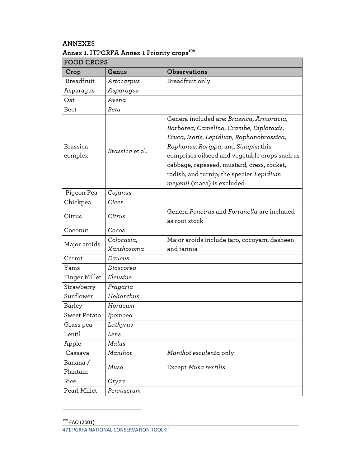## ANNEXES

## Annex 1. ITPGRFA Annex 1 Priority crops<sup>199</sup>

| <b>FOOD CROPS</b>    |                          |                                                                                                                                                                                                                                                                                                                                                    |  |  |
|----------------------|--------------------------|----------------------------------------------------------------------------------------------------------------------------------------------------------------------------------------------------------------------------------------------------------------------------------------------------------------------------------------------------|--|--|
| Crop                 | Genus                    | <b>Observations</b>                                                                                                                                                                                                                                                                                                                                |  |  |
| Breadfruit           | Artocarpus               | Breadfruit only                                                                                                                                                                                                                                                                                                                                    |  |  |
| Asparagus            | Asparagus                |                                                                                                                                                                                                                                                                                                                                                    |  |  |
| Oat                  | Avena                    |                                                                                                                                                                                                                                                                                                                                                    |  |  |
| <b>Beet</b>          | Beta                     |                                                                                                                                                                                                                                                                                                                                                    |  |  |
| Brassica<br>complex  | Brassica et al.          | Genera included are: Brassica, Armoracia,<br>Barbarea, Camelina, Crambe, Diplotaxis,<br>Eruca, Isatis, Lepidium, Raphanobrassica,<br>Raphanus, Rorippa, and Sinapis; this<br>comprises oilseed and vegetable crops such as<br>cabbage, rapeseed, mustard, cress, rocket,<br>radish, and turnip; the species Lepidium<br>meyenii (maca) is excluded |  |  |
| Pigeon Pea           | Cajanus                  |                                                                                                                                                                                                                                                                                                                                                    |  |  |
| Chickpea             | Cicer                    |                                                                                                                                                                                                                                                                                                                                                    |  |  |
| Citrus               | Citrus                   | Genera Poncirus and Fortunella are included<br>as root stock                                                                                                                                                                                                                                                                                       |  |  |
| Coconut              | Cocos                    |                                                                                                                                                                                                                                                                                                                                                    |  |  |
| Major aroids         | Colocasia,<br>Xanthosoma | Major aroids include taro, cocoyam, dasheen<br>and tannia                                                                                                                                                                                                                                                                                          |  |  |
| Carrot               | Daucus                   |                                                                                                                                                                                                                                                                                                                                                    |  |  |
| Yams                 | Dioscorea                |                                                                                                                                                                                                                                                                                                                                                    |  |  |
| Finger Millet        | Eleusine                 |                                                                                                                                                                                                                                                                                                                                                    |  |  |
| Strawberry           | Fragaria                 |                                                                                                                                                                                                                                                                                                                                                    |  |  |
| Sunflower            | Helianthus               |                                                                                                                                                                                                                                                                                                                                                    |  |  |
| Barley               | Hordeum                  |                                                                                                                                                                                                                                                                                                                                                    |  |  |
| Sweet Potato         | Ipomoea                  |                                                                                                                                                                                                                                                                                                                                                    |  |  |
| Grass pea            | Lathyrus                 |                                                                                                                                                                                                                                                                                                                                                    |  |  |
| Lentil               | Lens                     |                                                                                                                                                                                                                                                                                                                                                    |  |  |
| Apple                | Malus                    |                                                                                                                                                                                                                                                                                                                                                    |  |  |
| Cassava              | Manihot                  | Manihot esculenta only                                                                                                                                                                                                                                                                                                                             |  |  |
| Banana /<br>Plantain | Musa                     | Except Musa textilis                                                                                                                                                                                                                                                                                                                               |  |  |
| Rice                 | Oryza                    |                                                                                                                                                                                                                                                                                                                                                    |  |  |
| Pearl Millet         | Pennisetum               |                                                                                                                                                                                                                                                                                                                                                    |  |  |

<u> 1990 - Johann Barbara, martin a</u>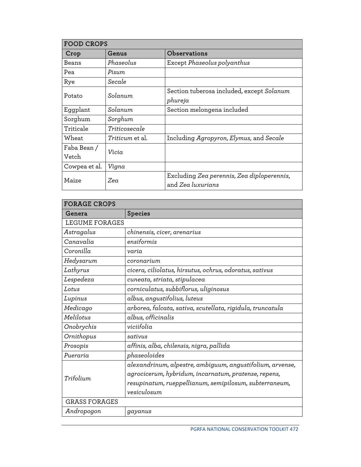| FOOD CROPS    |                        |                                                                 |  |  |
|---------------|------------------------|-----------------------------------------------------------------|--|--|
| Crop          | Genus                  | Observations                                                    |  |  |
| Beans         | Phaseolus              | Except Phaseolus polyanthus                                     |  |  |
| Pea           | Pisum                  |                                                                 |  |  |
| Rye           | Secale                 |                                                                 |  |  |
| Potato        | Solanum.               | Section tuberosa included, except Solanum<br>phureja            |  |  |
| Eggplant      | Solanum                | Section melongena included                                      |  |  |
| Sorghum       | Sorghum                |                                                                 |  |  |
| Triticale     | Triticosecale          |                                                                 |  |  |
| Wheat         | <i>Triticum</i> et al. | Including Agropyron, Elymus, and Secale                         |  |  |
| Faba Bean /   | Vicia                  |                                                                 |  |  |
| Vetch         |                        |                                                                 |  |  |
| Cowpea et al. | Vigna                  |                                                                 |  |  |
| Maize         | Zea                    | Excluding Zea perennis, Zea diploperennis,<br>and Zea luxurians |  |  |

| <b>FORAGE CROPS</b>  |                                                            |  |
|----------------------|------------------------------------------------------------|--|
| Genera               | <b>Species</b>                                             |  |
| LEGUME FORAGES       |                                                            |  |
| Astragalus           | chinensis, cicer, arenarius                                |  |
| Canavalia            | ensiformis                                                 |  |
| Coronilla            | varia                                                      |  |
| Hedysarum            | coronarium                                                 |  |
| Lathyrus             | cicera, ciliolatus, hirsutus, ochrus, odoratus, sativus    |  |
| Lespedeza            | cuneata, striata, stipulacea                               |  |
| Lotus                | corniculatus, subbiflorus, uliginosus                      |  |
| Lupinus              | albus, angustifolius, luteus                               |  |
| Medicago             | arborea, falcata, sativa, scutellata, rigidula, truncatula |  |
| Melilotus            | albus, officinalis                                         |  |
| Onobrychis           | viciifolia                                                 |  |
| Ornithopus           | sativus                                                    |  |
| Prosopis             | affinis, alba, chilensis, nigra, pallida                   |  |
| Pueraria             | phaseoloides                                               |  |
|                      | alexandrinum, alpestre, ambiguum, angustifolium, arvense,  |  |
| Trifolium            | agrocicerum, hybridum, incarnatum, pratense, repens,       |  |
|                      | resupinatum, rueppellianum, semipilosum, subterraneum,     |  |
|                      | vesiculosum                                                |  |
| <b>GRASS FORAGES</b> |                                                            |  |
| Andropogon           | gayanus                                                    |  |